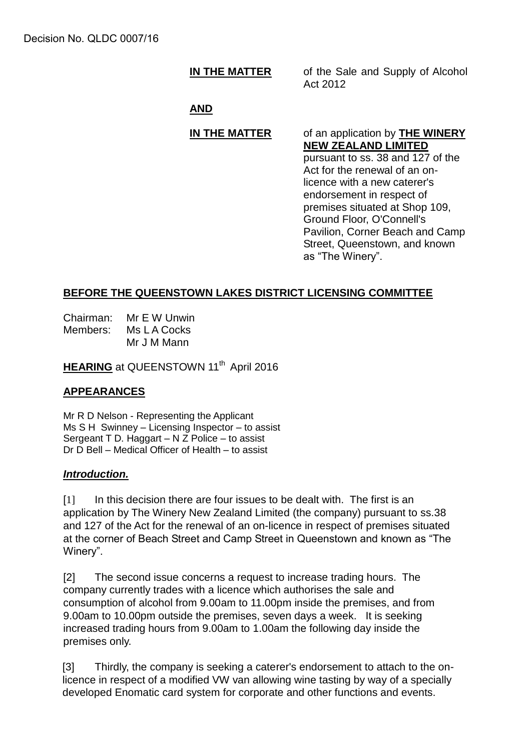## **IN THE MATTER** of the Sale and Supply of Alcohol

Act 2012

### **AND**

#### **IN THE MATTER** of an application by **THE WINERY NEW ZEALAND LIMITED** pursuant to ss. 38 and 127 of the

Act for the renewal of an onlicence with a new caterer's endorsement in respect of premises situated at Shop 109, Ground Floor, O'Connell's Pavilion, Corner Beach and Camp Street, Queenstown, and known as "The Winery".

## **BEFORE THE QUEENSTOWN LAKES DISTRICT LICENSING COMMITTEE**

Chairman: Mr E W Unwin Members: Ms L A Cocks Mr J M Mann

**HEARING** at QUEENSTOWN 11<sup>th</sup> April 2016

#### **APPEARANCES**

Mr R D Nelson - Representing the Applicant Ms S H Swinney – Licensing Inspector – to assist Sergeant T D. Haggart – N Z Police – to assist Dr D Bell – Medical Officer of Health – to assist

#### *Introduction.*

[1] In this decision there are four issues to be dealt with. The first is an application by The Winery New Zealand Limited (the company) pursuant to ss.38 and 127 of the Act for the renewal of an on-licence in respect of premises situated at the corner of Beach Street and Camp Street in Queenstown and known as "The Winery".

[2] The second issue concerns a request to increase trading hours. The company currently trades with a licence which authorises the sale and consumption of alcohol from 9.00am to 11.00pm inside the premises, and from 9.00am to 10.00pm outside the premises, seven days a week. It is seeking increased trading hours from 9.00am to 1.00am the following day inside the premises only.

[3] Thirdly, the company is seeking a caterer's endorsement to attach to the onlicence in respect of a modified VW van allowing wine tasting by way of a specially developed Enomatic card system for corporate and other functions and events.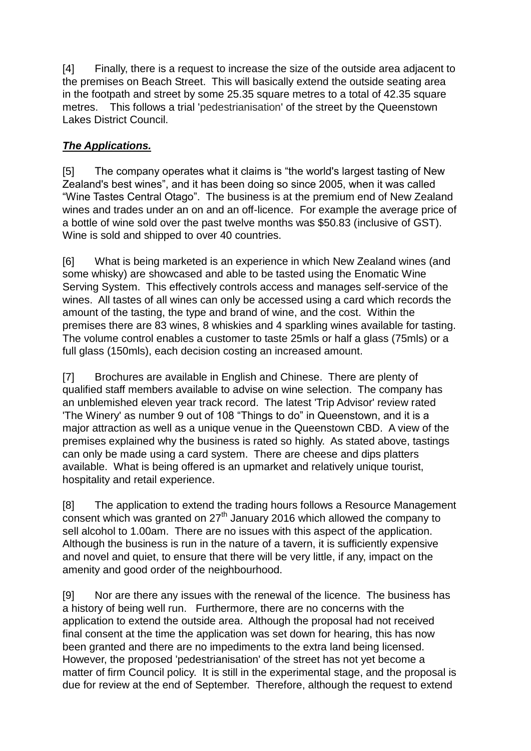[4] Finally, there is a request to increase the size of the outside area adjacent to the premises on Beach Street. This will basically extend the outside seating area in the footpath and street by some 25.35 square metres to a total of 42.35 square metres. This follows a trial 'pedestrianisation' of the street by the Queenstown Lakes District Council.

## *The Applications.*

[5] The company operates what it claims is "the world's largest tasting of New Zealand's best wines", and it has been doing so since 2005, when it was called "Wine Tastes Central Otago". The business is at the premium end of New Zealand wines and trades under an on and an off-licence. For example the average price of a bottle of wine sold over the past twelve months was \$50.83 (inclusive of GST). Wine is sold and shipped to over 40 countries.

[6] What is being marketed is an experience in which New Zealand wines (and some whisky) are showcased and able to be tasted using the Enomatic Wine Serving System. This effectively controls access and manages self-service of the wines. All tastes of all wines can only be accessed using a card which records the amount of the tasting, the type and brand of wine, and the cost. Within the premises there are 83 wines, 8 whiskies and 4 sparkling wines available for tasting. The volume control enables a customer to taste 25mls or half a glass (75mls) or a full glass (150mls), each decision costing an increased amount.

[7] Brochures are available in English and Chinese. There are plenty of qualified staff members available to advise on wine selection. The company has an unblemished eleven year track record. The latest 'Trip Advisor' review rated 'The Winery' as number 9 out of 108 "Things to do" in Queenstown, and it is a major attraction as well as a unique venue in the Queenstown CBD. A view of the premises explained why the business is rated so highly. As stated above, tastings can only be made using a card system. There are cheese and dips platters available. What is being offered is an upmarket and relatively unique tourist, hospitality and retail experience.

[8] The application to extend the trading hours follows a Resource Management consent which was granted on 27<sup>th</sup> January 2016 which allowed the company to sell alcohol to 1.00am. There are no issues with this aspect of the application. Although the business is run in the nature of a tavern, it is sufficiently expensive and novel and quiet, to ensure that there will be very little, if any, impact on the amenity and good order of the neighbourhood.

[9] Nor are there any issues with the renewal of the licence. The business has a history of being well run. Furthermore, there are no concerns with the application to extend the outside area. Although the proposal had not received final consent at the time the application was set down for hearing, this has now been granted and there are no impediments to the extra land being licensed. However, the proposed 'pedestrianisation' of the street has not yet become a matter of firm Council policy. It is still in the experimental stage, and the proposal is due for review at the end of September. Therefore, although the request to extend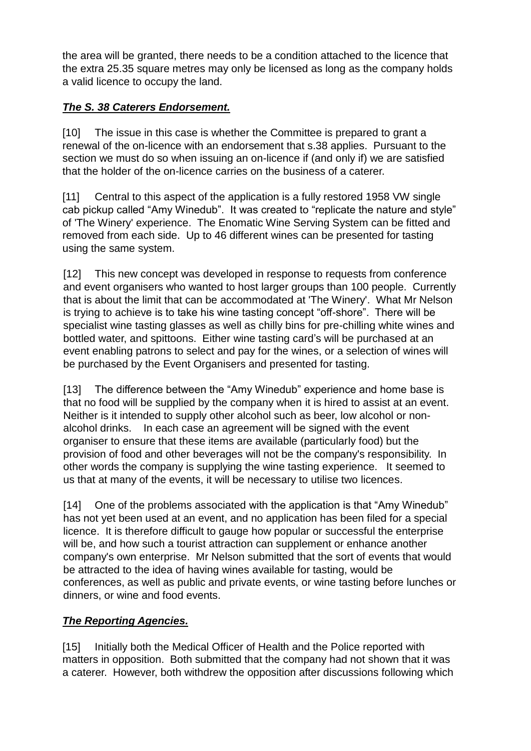the area will be granted, there needs to be a condition attached to the licence that the extra 25.35 square metres may only be licensed as long as the company holds a valid licence to occupy the land.

## *The S. 38 Caterers Endorsement.*

[10] The issue in this case is whether the Committee is prepared to grant a renewal of the on-licence with an endorsement that s.38 applies. Pursuant to the section we must do so when issuing an on-licence if (and only if) we are satisfied that the holder of the on-licence carries on the business of a caterer.

[11] Central to this aspect of the application is a fully restored 1958 VW single cab pickup called "Amy Winedub". It was created to "replicate the nature and style" of 'The Winery' experience. The Enomatic Wine Serving System can be fitted and removed from each side. Up to 46 different wines can be presented for tasting using the same system.

[12] This new concept was developed in response to requests from conference and event organisers who wanted to host larger groups than 100 people. Currently that is about the limit that can be accommodated at 'The Winery'. What Mr Nelson is trying to achieve is to take his wine tasting concept "off-shore". There will be specialist wine tasting glasses as well as chilly bins for pre-chilling white wines and bottled water, and spittoons. Either wine tasting card's will be purchased at an event enabling patrons to select and pay for the wines, or a selection of wines will be purchased by the Event Organisers and presented for tasting.

[13] The difference between the "Amy Winedub" experience and home base is that no food will be supplied by the company when it is hired to assist at an event. Neither is it intended to supply other alcohol such as beer, low alcohol or nonalcohol drinks. In each case an agreement will be signed with the event organiser to ensure that these items are available (particularly food) but the provision of food and other beverages will not be the company's responsibility. In other words the company is supplying the wine tasting experience. It seemed to us that at many of the events, it will be necessary to utilise two licences.

[14] One of the problems associated with the application is that "Amy Winedub" has not yet been used at an event, and no application has been filed for a special licence. It is therefore difficult to gauge how popular or successful the enterprise will be, and how such a tourist attraction can supplement or enhance another company's own enterprise. Mr Nelson submitted that the sort of events that would be attracted to the idea of having wines available for tasting, would be conferences, as well as public and private events, or wine tasting before lunches or dinners, or wine and food events.

# *The Reporting Agencies.*

[15] Initially both the Medical Officer of Health and the Police reported with matters in opposition. Both submitted that the company had not shown that it was a caterer. However, both withdrew the opposition after discussions following which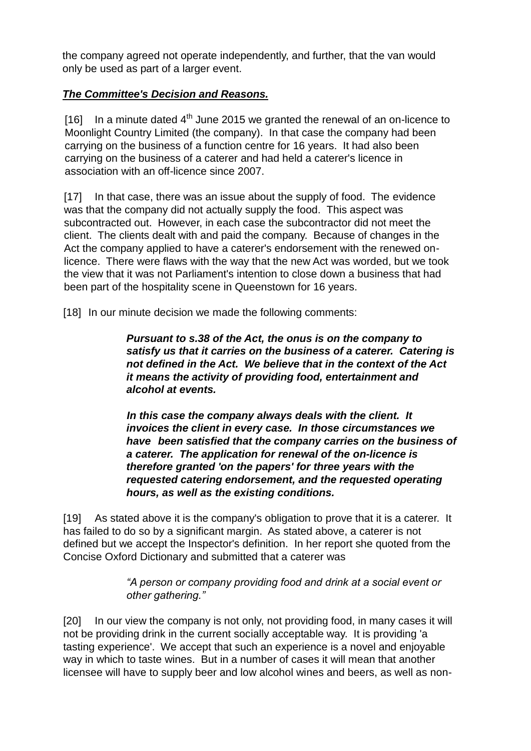the company agreed not operate independently, and further, that the van would only be used as part of a larger event.

### *The Committee's Decision and Reasons.*

[16] In a minute dated  $4<sup>th</sup>$  June 2015 we granted the renewal of an on-licence to Moonlight Country Limited (the company). In that case the company had been carrying on the business of a function centre for 16 years. It had also been carrying on the business of a caterer and had held a caterer's licence in association with an off-licence since 2007.

[17] In that case, there was an issue about the supply of food. The evidence was that the company did not actually supply the food. This aspect was subcontracted out. However, in each case the subcontractor did not meet the client. The clients dealt with and paid the company. Because of changes in the Act the company applied to have a caterer's endorsement with the renewed onlicence. There were flaws with the way that the new Act was worded, but we took the view that it was not Parliament's intention to close down a business that had been part of the hospitality scene in Queenstown for 16 years.

[18] In our minute decision we made the following comments:

*Pursuant to s.38 of the Act, the onus is on the company to satisfy us that it carries on the business of a caterer. Catering is not defined in the Act. We believe that in the context of the Act it means the activity of providing food, entertainment and alcohol at events.* 

*In this case the company always deals with the client. It invoices the client in every case. In those circumstances we have been satisfied that the company carries on the business of a caterer. The application for renewal of the on-licence is therefore granted 'on the papers' for three years with the requested catering endorsement, and the requested operating hours, as well as the existing conditions.*

[19] As stated above it is the company's obligation to prove that it is a caterer. It has failed to do so by a significant margin. As stated above, a caterer is not defined but we accept the Inspector's definition. In her report she quoted from the Concise Oxford Dictionary and submitted that a caterer was

> *"A person or company providing food and drink at a social event or other gathering."*

[20] In our view the company is not only, not providing food, in many cases it will not be providing drink in the current socially acceptable way. It is providing 'a tasting experience'. We accept that such an experience is a novel and enjoyable way in which to taste wines. But in a number of cases it will mean that another licensee will have to supply beer and low alcohol wines and beers, as well as non